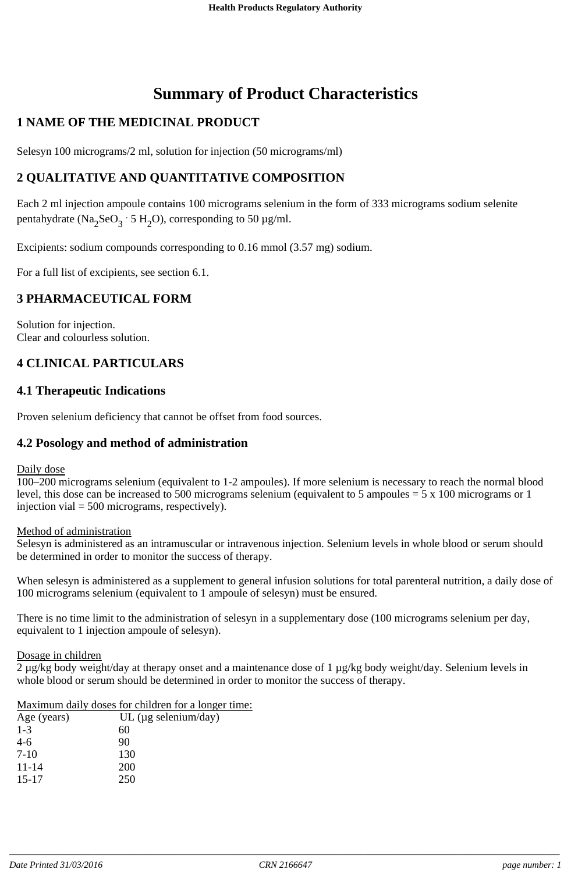# **Summary of Product Characteristics**

## **1 NAME OF THE MEDICINAL PRODUCT**

Selesyn 100 micrograms/2 ml, solution for injection (50 micrograms/ml)

## **2 QUALITATIVE AND QUANTITATIVE COMPOSITION**

Each 2 ml injection ampoule contains 100 micrograms selenium in the form of 333 micrograms sodium selenite pentahydrate ( $\text{Na}_2\text{SeO}_3$  · 5 H<sub>2</sub>O), corresponding to 50 µg/ml.

Excipients: sodium compounds corresponding to 0.16 mmol (3.57 mg) sodium.

For a full list of excipients, see section 6.1.

## **3 PHARMACEUTICAL FORM**

Solution for injection. Clear and colourless solution.

## **4 CLINICAL PARTICULARS**

#### **4.1 Therapeutic Indications**

Proven selenium deficiency that cannot be offset from food sources.

#### **4.2 Posology and method of administration**

Daily dose

100–200 micrograms selenium (equivalent to 1-2 ampoules). If more selenium is necessary to reach the normal blood level, this dose can be increased to 500 micrograms selenium (equivalent to 5 ampoules = 5 x 100 micrograms or 1 injection vial = 500 micrograms, respectively).

#### Method of administration

Selesyn is administered as an intramuscular or intravenous injection. Selenium levels in whole blood or serum should be determined in order to monitor the success of therapy.

When selesyn is administered as a supplement to general infusion solutions for total parenteral nutrition, a daily dose of 100 micrograms selenium (equivalent to 1 ampoule of selesyn) must be ensured.

There is no time limit to the administration of selesyn in a supplementary dose (100 micrograms selenium per day, equivalent to 1 injection ampoule of selesyn).

#### Dosage in children

2 µg/kg body weight/day at therapy onset and a maintenance dose of 1 µg/kg body weight/day. Selenium levels in whole blood or serum should be determined in order to monitor the success of therapy.

#### Maximum daily doses for children for a longer time:

| Age (years) | UL ( $\mu$ g selenium/day) |
|-------------|----------------------------|
| $1 - 3$     | 60                         |
| $4-6$       | 90                         |
| $7-10$      | 130                        |
| $11 - 14$   | <b>200</b>                 |
| $15 - 17$   | 250                        |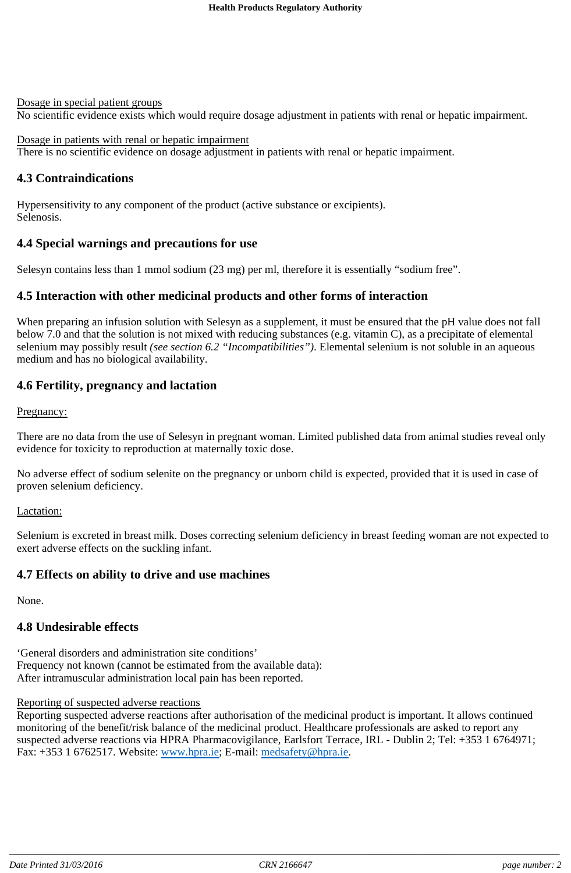#### Dosage in special patient groups

No scientific evidence exists which would require dosage adjustment in patients with renal or hepatic impairment.

#### Dosage in patients with renal or hepatic impairment

There is no scientific evidence on dosage adjustment in patients with renal or hepatic impairment.

## **4.3 Contraindications**

Hypersensitivity to any component of the product (active substance or excipients). Selenosis.

## **4.4 Special warnings and precautions for use**

Selesyn contains less than 1 mmol sodium (23 mg) per ml, therefore it is essentially "sodium free".

## **4.5 Interaction with other medicinal products and other forms of interaction**

When preparing an infusion solution with Selesyn as a supplement, it must be ensured that the pH value does not fall below 7.0 and that the solution is not mixed with reducing substances (e.g. vitamin C), as a precipitate of elemental selenium may possibly result *(see section 6.2 "Incompatibilities")*. Elemental selenium is not soluble in an aqueous medium and has no biological availability.

## **4.6 Fertility, pregnancy and lactation**

#### Pregnancy:

There are no data from the use of Selesyn in pregnant woman. Limited published data from animal studies reveal only evidence for toxicity to reproduction at maternally toxic dose.

No adverse effect of sodium selenite on the pregnancy or unborn child is expected, provided that it is used in case of proven selenium deficiency.

#### Lactation:

Selenium is excreted in breast milk. Doses correcting selenium deficiency in breast feeding woman are not expected to exert adverse effects on the suckling infant.

## **4.7 Effects on ability to drive and use machines**

None.

## **4.8 Undesirable effects**

'General disorders and administration site conditions' Frequency not known (cannot be estimated from the available data): After intramuscular administration local pain has been reported.

#### Reporting of suspected adverse reactions

Reporting suspected adverse reactions after authorisation of the medicinal product is important. It allows continued monitoring of the benefit/risk balance of the medicinal product. Healthcare professionals are asked to report any suspected adverse reactions via HPRA Pharmacovigilance, Earlsfort Terrace, IRL - Dublin 2; Tel: +353 1 6764971; Fax: +353 1 6762517. Website: www.hpra.ie; E-mail: medsafety@hpra.ie.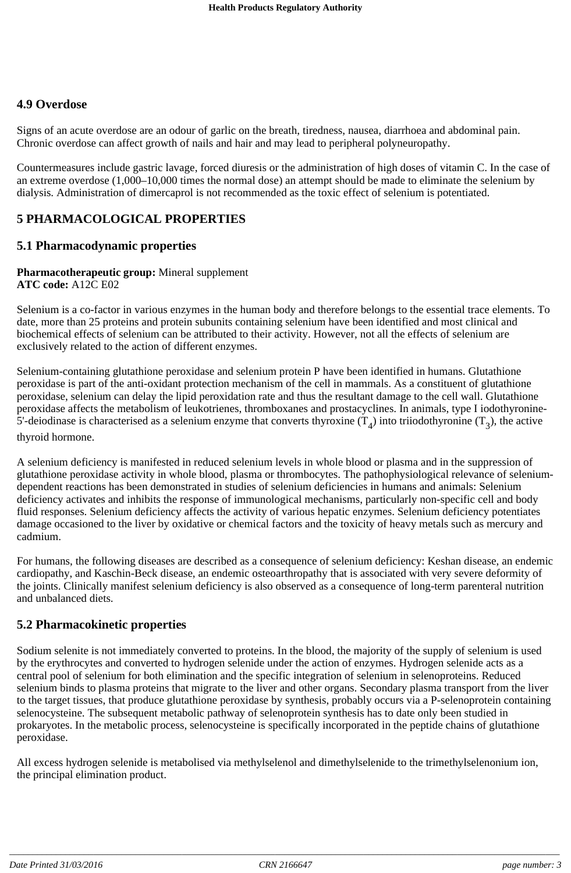## **4.9 Overdose**

Signs of an acute overdose are an odour of garlic on the breath, tiredness, nausea, diarrhoea and abdominal pain. Chronic overdose can affect growth of nails and hair and may lead to peripheral polyneuropathy.

Countermeasures include gastric lavage, forced diuresis or the administration of high doses of vitamin C. In the case of an extreme overdose (1,000–10,000 times the normal dose) an attempt should be made to eliminate the selenium by dialysis. Administration of dimercaprol is not recommended as the toxic effect of selenium is potentiated.

## **5 PHARMACOLOGICAL PROPERTIES**

## **5.1 Pharmacodynamic properties**

## **Pharmacotherapeutic group:** Mineral supplement

**ATC code:** A12C E02

Selenium is a co-factor in various enzymes in the human body and therefore belongs to the essential trace elements. To date, more than 25 proteins and protein subunits containing selenium have been identified and most clinical and biochemical effects of selenium can be attributed to their activity. However, not all the effects of selenium are exclusively related to the action of different enzymes.

Selenium-containing glutathione peroxidase and selenium protein P have been identified in humans. Glutathione peroxidase is part of the anti-oxidant protection mechanism of the cell in mammals. As a constituent of glutathione peroxidase, selenium can delay the lipid peroxidation rate and thus the resultant damage to the cell wall. Glutathione peroxidase affects the metabolism of leukotrienes, thromboxanes and prostacyclines. In animals, type I iodothyronine-5'-deiodinase is characterised as a selenium enzyme that converts thyroxine  $(T_4)$  into triiodothyronine  $(T_3)$ , the active thyroid hormone.

A selenium deficiency is manifested in reduced selenium levels in whole blood or plasma and in the suppression of glutathione peroxidase activity in whole blood, plasma or thrombocytes. The pathophysiological relevance of seleniumdependent reactions has been demonstrated in studies of selenium deficiencies in humans and animals: Selenium deficiency activates and inhibits the response of immunological mechanisms, particularly non-specific cell and body fluid responses. Selenium deficiency affects the activity of various hepatic enzymes. Selenium deficiency potentiates damage occasioned to the liver by oxidative or chemical factors and the toxicity of heavy metals such as mercury and cadmium.

For humans, the following diseases are described as a consequence of selenium deficiency: Keshan disease, an endemic cardiopathy, and Kaschin-Beck disease, an endemic osteoarthropathy that is associated with very severe deformity of the joints. Clinically manifest selenium deficiency is also observed as a consequence of long-term parenteral nutrition and unbalanced diets.

## **5.2 Pharmacokinetic properties**

Sodium selenite is not immediately converted to proteins. In the blood, the majority of the supply of selenium is used by the erythrocytes and converted to hydrogen selenide under the action of enzymes. Hydrogen selenide acts as a central pool of selenium for both elimination and the specific integration of selenium in selenoproteins. Reduced selenium binds to plasma proteins that migrate to the liver and other organs. Secondary plasma transport from the liver to the target tissues, that produce glutathione peroxidase by synthesis, probably occurs via a P-selenoprotein containing selenocysteine. The subsequent metabolic pathway of selenoprotein synthesis has to date only been studied in prokaryotes. In the metabolic process, selenocysteine is specifically incorporated in the peptide chains of glutathione peroxidase.

All excess hydrogen selenide is metabolised via methylselenol and dimethylselenide to the trimethylselenonium ion, the principal elimination product.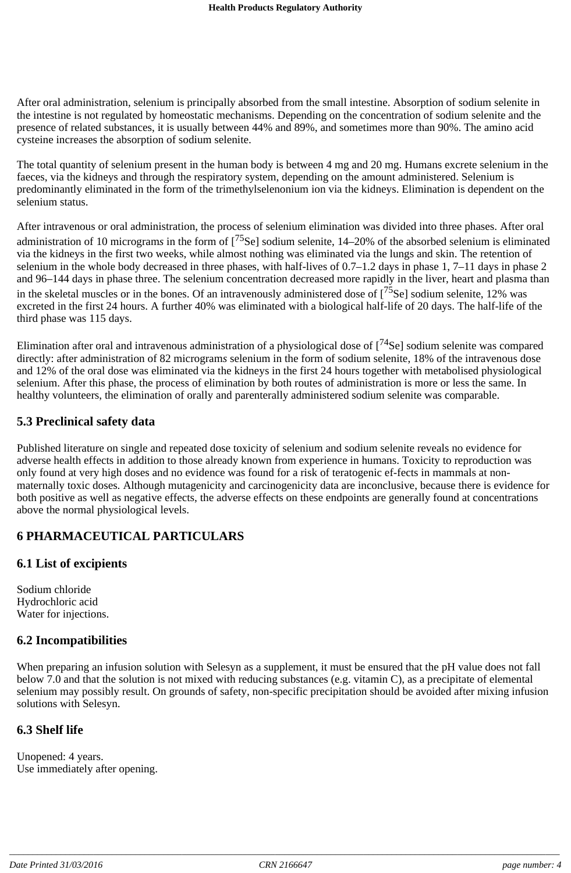After oral administration, selenium is principally absorbed from the small intestine. Absorption of sodium selenite in the intestine is not regulated by homeostatic mechanisms. Depending on the concentration of sodium selenite and the presence of related substances, it is usually between 44% and 89%, and sometimes more than 90%. The amino acid cysteine increases the absorption of sodium selenite.

The total quantity of selenium present in the human body is between 4 mg and 20 mg. Humans excrete selenium in the faeces, via the kidneys and through the respiratory system, depending on the amount administered. Selenium is predominantly eliminated in the form of the trimethylselenonium ion via the kidneys. Elimination is dependent on the selenium status.

After intravenous or oral administration, the process of selenium elimination was divided into three phases. After oral administration of 10 micrograms in the form of [<sup>75</sup>Se] sodium selenite, 14–20% of the absorbed selenium is eliminated via the kidneys in the first two weeks, while almost nothing was eliminated via the lungs and skin. The retention of selenium in the whole body decreased in three phases, with half-lives of 0.7–1.2 days in phase 1, 7–11 days in phase 2 and 96–144 days in phase three. The selenium concentration decreased more rapidly in the liver, heart and plasma than in the skeletal muscles or in the bones. Of an intravenously administered dose of  $[^{75}$ Se] sodium selenite, 12% was excreted in the first 24 hours. A further 40% was eliminated with a biological half-life of 20 days. The half-life of the third phase was 115 days.

Elimination after oral and intravenous administration of a physiological dose of  $[74$ Se] sodium selenite was compared directly: after administration of 82 microgram*s* selenium in the form of sodium selenite, 18% of the intravenous dose and 12% of the oral dose was eliminated via the kidneys in the first 24 hours together with metabolised physiological selenium. After this phase, the process of elimination by both routes of administration is more or less the same. In healthy volunteers, the elimination of orally and parenterally administered sodium selenite was comparable.

## **5.3 Preclinical safety data**

Published literature on single and repeated dose toxicity of selenium and sodium selenite reveals no evidence for adverse health effects in addition to those already known from experience in humans. Toxicity to reproduction was only found at very high doses and no evidence was found for a risk of teratogenic ef-fects in mammals at nonmaternally toxic doses. Although mutagenicity and carcinogenicity data are inconclusive, because there is evidence for both positive as well as negative effects, the adverse effects on these endpoints are generally found at concentrations above the normal physiological levels.

## **6 PHARMACEUTICAL PARTICULARS**

## **6.1 List of excipients**

Sodium chloride Hydrochloric acid Water for injections.

## **6.2 Incompatibilities**

When preparing an infusion solution with Selesyn as a supplement, it must be ensured that the pH value does not fall below 7.0 and that the solution is not mixed with reducing substances (e.g. vitamin C), as a precipitate of elemental selenium may possibly result. On grounds of safety, non-specific precipitation should be avoided after mixing infusion solutions with Selesyn.

## **6.3 Shelf life**

Unopened: 4 years. Use immediately after opening.